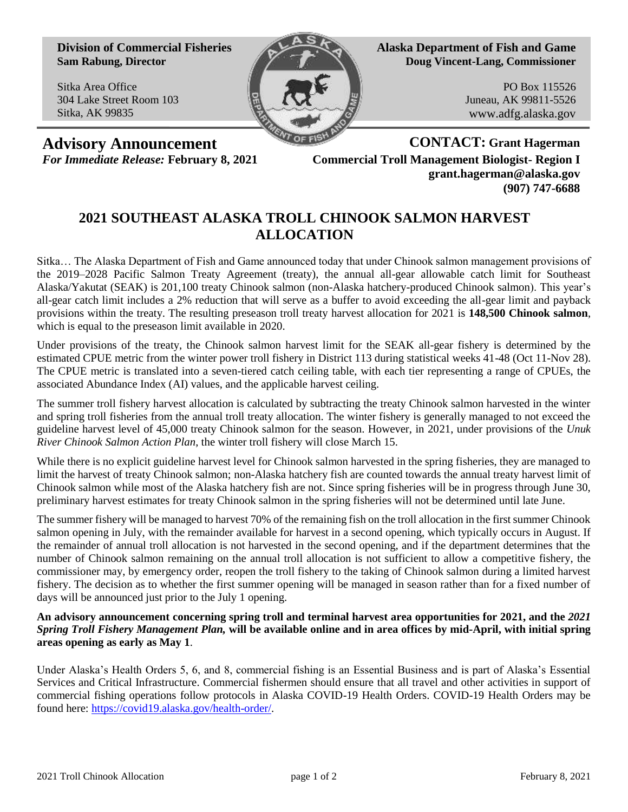**Division of Commercial Fisheries Sam Rabung, Director**

Sitka Area Office 304 Lake Street Room 103 Sitka, AK 99835



**Alaska Department of Fish and Game Doug Vincent-Lang, Commissioner**

> PO Box 115526 Juneau, AK 99811-5526 www.adfg.alaska.gov

**Advisory Announcement CONTACT: Grant Hagerman** *For Immediate Release:* **February 8, 2021 Commercial Troll Management Biologist- Region I grant.hagerman@alaska.gov (907) 747-6688**

## **2021 SOUTHEAST ALASKA TROLL CHINOOK SALMON HARVEST ALLOCATION**

Sitka… The Alaska Department of Fish and Game announced today that under Chinook salmon management provisions of the 2019–2028 Pacific Salmon Treaty Agreement (treaty), the annual all-gear allowable catch limit for Southeast Alaska/Yakutat (SEAK) is 201,100 treaty Chinook salmon (non-Alaska hatchery-produced Chinook salmon). This year's all-gear catch limit includes a 2% reduction that will serve as a buffer to avoid exceeding the all-gear limit and payback provisions within the treaty. The resulting preseason troll treaty harvest allocation for 2021 is **148,500 Chinook salmon**, which is equal to the preseason limit available in 2020.

Under provisions of the treaty, the Chinook salmon harvest limit for the SEAK all-gear fishery is determined by the estimated CPUE metric from the winter power troll fishery in District 113 during statistical weeks 41-48 (Oct 11-Nov 28). The CPUE metric is translated into a seven-tiered catch ceiling table, with each tier representing a range of CPUEs, the associated Abundance Index (AI) values, and the applicable harvest ceiling.

The summer troll fishery harvest allocation is calculated by subtracting the treaty Chinook salmon harvested in the winter and spring troll fisheries from the annual troll treaty allocation. The winter fishery is generally managed to not exceed the guideline harvest level of 45,000 treaty Chinook salmon for the season. However, in 2021, under provisions of the *Unuk River Chinook Salmon Action Plan*, the winter troll fishery will close March 15.

While there is no explicit guideline harvest level for Chinook salmon harvested in the spring fisheries, they are managed to limit the harvest of treaty Chinook salmon; non-Alaska hatchery fish are counted towards the annual treaty harvest limit of Chinook salmon while most of the Alaska hatchery fish are not. Since spring fisheries will be in progress through June 30, preliminary harvest estimates for treaty Chinook salmon in the spring fisheries will not be determined until late June.

The summer fishery will be managed to harvest 70% of the remaining fish on the troll allocation in the first summer Chinook salmon opening in July, with the remainder available for harvest in a second opening, which typically occurs in August. If the remainder of annual troll allocation is not harvested in the second opening, and if the department determines that the number of Chinook salmon remaining on the annual troll allocation is not sufficient to allow a competitive fishery, the commissioner may, by emergency order, reopen the troll fishery to the taking of Chinook salmon during a limited harvest fishery. The decision as to whether the first summer opening will be managed in season rather than for a fixed number of days will be announced just prior to the July 1 opening.

## **An advisory announcement concerning spring troll and terminal harvest area opportunities for 2021, and the** *2021 Spring Troll Fishery Management Plan,* **will be available online and in area offices by mid-April, with initial spring areas opening as early as May 1**.

Under Alaska's Health Orders 5, 6, and 8, commercial fishing is an Essential Business and is part of Alaska's Essential Services and Critical Infrastructure. Commercial fishermen should ensure that all travel and other activities in support of commercial fishing operations follow protocols in Alaska COVID-19 Health Orders. COVID-19 Health Orders may be found here: [https://covid19.alaska.gov/health-order/.](https://covid19.alaska.gov/health-order/)